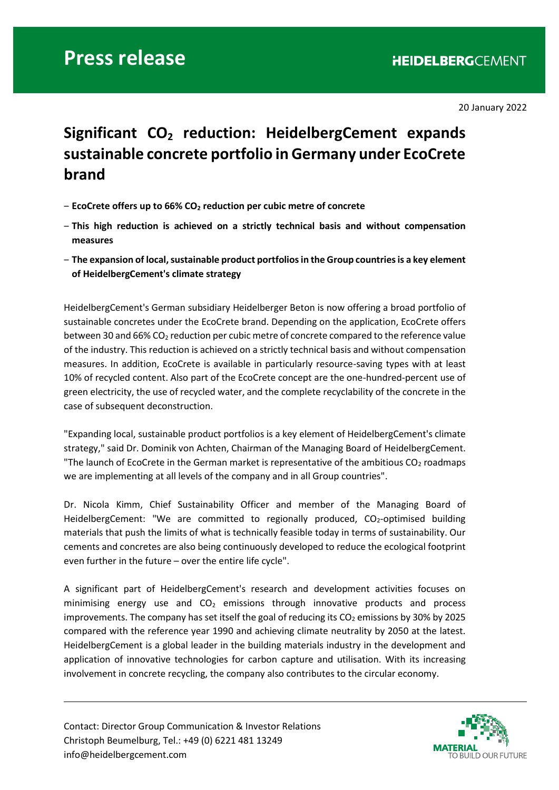## **Press release**

20 January 2022

## **Significant CO<sup>2</sup> reduction: HeidelbergCement expands sustainable concrete portfolio in Germany under EcoCrete brand**

- ‒ **EcoCrete offers up to 66% CO<sup>2</sup> reduction per cubic metre of concrete**
- ‒ **This high reduction is achieved on a strictly technical basis and without compensation measures**
- ‒ **The expansion of local, sustainable product portfolios in the Group countries is a key element of HeidelbergCement's climate strategy**

HeidelbergCement's German subsidiary Heidelberger Beton is now offering a broad portfolio of sustainable concretes under the EcoCrete brand. Depending on the application, EcoCrete offers between 30 and 66% CO<sub>2</sub> reduction per cubic metre of concrete compared to the reference value of the industry. This reduction is achieved on a strictly technical basis and without compensation measures. In addition, EcoCrete is available in particularly resource-saving types with at least 10% of recycled content. Also part of the EcoCrete concept are the one-hundred-percent use of green electricity, the use of recycled water, and the complete recyclability of the concrete in the case of subsequent deconstruction.

"Expanding local, sustainable product portfolios is a key element of HeidelbergCement's climate strategy," said Dr. Dominik von Achten, Chairman of the Managing Board of HeidelbergCement. "The launch of EcoCrete in the German market is representative of the ambitious  $CO<sub>2</sub>$  roadmaps we are implementing at all levels of the company and in all Group countries".

Dr. Nicola Kimm, Chief Sustainability Officer and member of the Managing Board of HeidelbergCement: "We are committed to regionally produced,  $CO<sub>2</sub>$ -optimised building materials that push the limits of what is technically feasible today in terms of sustainability. Our cements and concretes are also being continuously developed to reduce the ecological footprint even further in the future – over the entire life cycle".

A significant part of HeidelbergCement's research and development activities focuses on minimising energy use and  $CO<sub>2</sub>$  emissions through innovative products and process improvements. The company has set itself the goal of reducing its  $CO<sub>2</sub>$  emissions by 30% by 2025 compared with the reference year 1990 and achieving climate neutrality by 2050 at the latest. HeidelbergCement is a global leader in the building materials industry in the development and application of innovative technologies for carbon capture and utilisation. With its increasing involvement in concrete recycling, the company also contributes to the circular economy.

Contact: Director Group Communication & Investor Relations Christoph Beumelburg, Tel.: +49 (0) 6221 481 13249 info@heidelbergcement.com